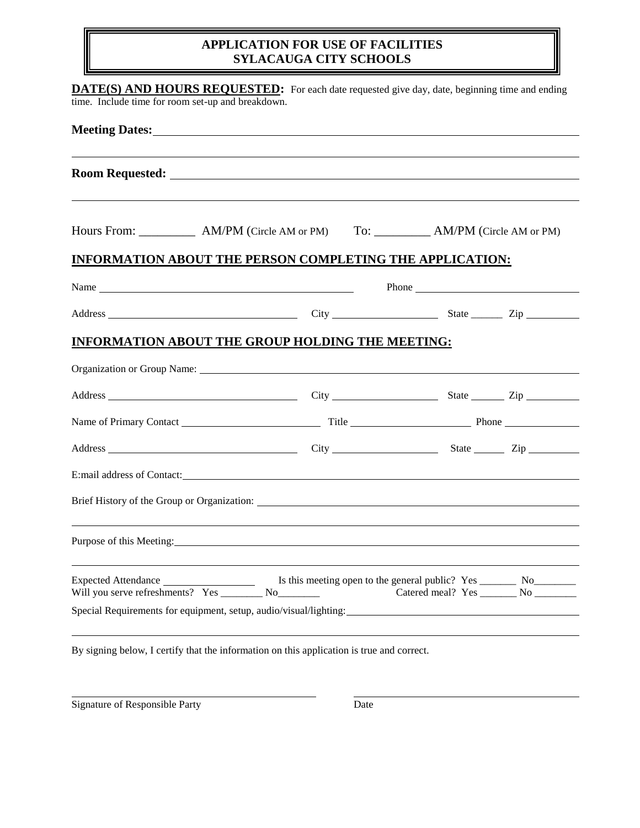### **APPLICATION FOR USE OF FACILITIES SYLACAUGA CITY SCHOOLS**

| Meeting Dates: New York Structure and Structure and Structure and Structure and Structure and Structure and Structure and Structure and Structure and Structure and Structure and Structure and Structure and Structure and St |                                                                                                                                                                                                                                      |  |
|--------------------------------------------------------------------------------------------------------------------------------------------------------------------------------------------------------------------------------|--------------------------------------------------------------------------------------------------------------------------------------------------------------------------------------------------------------------------------------|--|
|                                                                                                                                                                                                                                |                                                                                                                                                                                                                                      |  |
| Hours From: _____________ AM/PM (Circle AM or PM) To: ___________ AM/PM (Circle AM or PM)                                                                                                                                      |                                                                                                                                                                                                                                      |  |
| <b>INFORMATION ABOUT THE PERSON COMPLETING THE APPLICATION:</b>                                                                                                                                                                |                                                                                                                                                                                                                                      |  |
| Name                                                                                                                                                                                                                           | Phone <u>example and the set of the set of the set of the set of the set of the set of the set of the set of the set of the set of the set of the set of the set of the set of the set of the set of the set of the set of the s</u> |  |
|                                                                                                                                                                                                                                |                                                                                                                                                                                                                                      |  |
| <b>INFORMATION ABOUT THE GROUP HOLDING THE MEETING:</b>                                                                                                                                                                        |                                                                                                                                                                                                                                      |  |
| Organization or Group Name: Name: Name: Name: Name: Name: Name: Name: Name: Name: Name: Name: Name: Name: Name: Name: Name: Name: Name: Name: Name: Name: Name: Name: Name: Name: Name: Name: Name: Name: Name: Name: Name: Na |                                                                                                                                                                                                                                      |  |
|                                                                                                                                                                                                                                |                                                                                                                                                                                                                                      |  |
|                                                                                                                                                                                                                                |                                                                                                                                                                                                                                      |  |
|                                                                                                                                                                                                                                |                                                                                                                                                                                                                                      |  |
|                                                                                                                                                                                                                                |                                                                                                                                                                                                                                      |  |
|                                                                                                                                                                                                                                |                                                                                                                                                                                                                                      |  |
| Purpose of this Meeting: 2003. The Meeting of this Meeting:                                                                                                                                                                    |                                                                                                                                                                                                                                      |  |
| Will you serve refreshments? Yes __________ No_________                                                                                                                                                                        | Catered meal? Yes _________ No __________                                                                                                                                                                                            |  |
| Special Requirements for equipment, setup, audio/visual/lighting:                                                                                                                                                              |                                                                                                                                                                                                                                      |  |

Signature of Responsible Party Date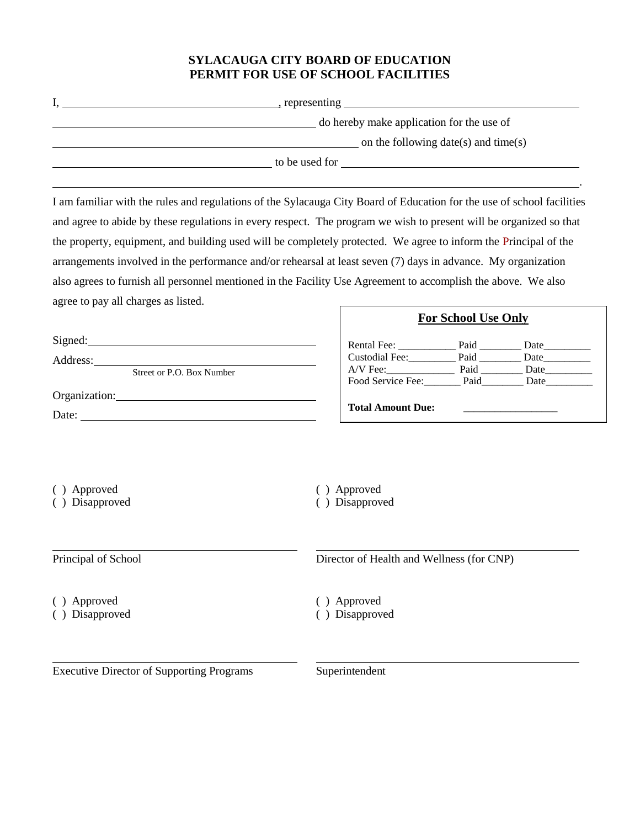### **SYLACAUGA CITY BOARD OF EDUCATION PERMIT FOR USE OF SCHOOL FACILITIES**

| , representing                            |
|-------------------------------------------|
| do hereby make application for the use of |
| on the following date(s) and time(s)      |
| to be used for                            |

I am familiar with the rules and regulations of the Sylacauga City Board of Education for the use of school facilities and agree to abide by these regulations in every respect. The program we wish to present will be organized so that the property, equipment, and building used will be completely protected. We agree to inform the Principal of the arrangements involved in the performance and/or rehearsal at least seven (7) days in advance. My organization also agrees to furnish all personnel mentioned in the Facility Use Agreement to accomplish the above. We also agree to pay all charges as listed.

| Signed:                   | Rental Fee:              | Paid | Date |  |
|---------------------------|--------------------------|------|------|--|
| Address:                  | Custodial Fee:           | Paid | Date |  |
| Street or P.O. Box Number | A/V Fee:                 | Paid | Date |  |
|                           | Food Service Fee:        | Paid | Date |  |
| Organization:             |                          |      |      |  |
| Date:                     | <b>Total Amount Due:</b> |      |      |  |

- ( ) Approved ( ) Approved
- 
- 
- ( ) Disapproved ( ) Disapproved

Principal of School Director of Health and Wellness (for CNP)

**For School Use Only**

.

( ) Approved ( ) Approved

( ) Disapproved ( ) Disapproved

Executive Director of Supporting Programs Superintendent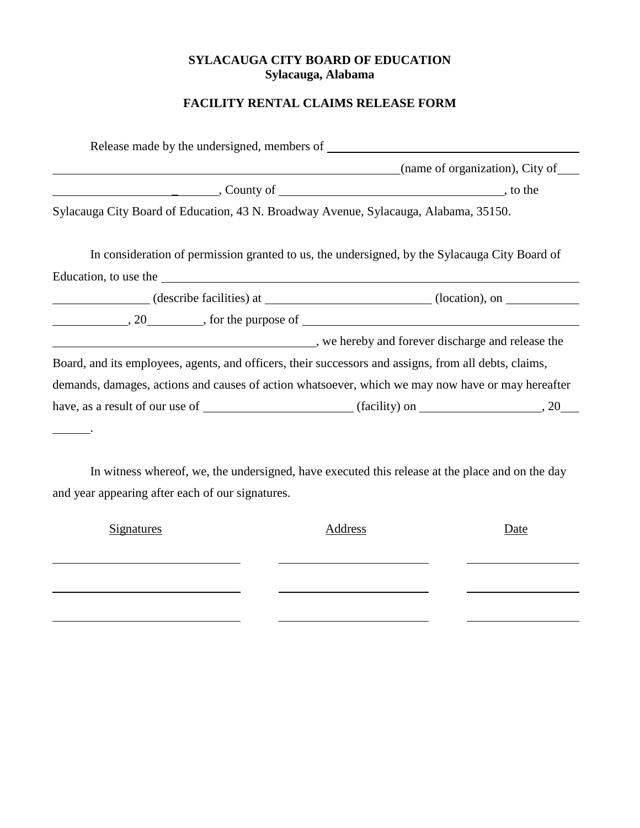## **SYLACAUGA CITY BOARD OF EDUCATION Sylacauga, Alabama**

# **FACILITY RENTAL CLAIMS RELEASE FORM**

| (name of organization), City of                                                                                                                                                                                                                                                                                                                                                                                                                                                                         |  |
|---------------------------------------------------------------------------------------------------------------------------------------------------------------------------------------------------------------------------------------------------------------------------------------------------------------------------------------------------------------------------------------------------------------------------------------------------------------------------------------------------------|--|
| $\sim$ County of $\sim$ County of $\sim$                                                                                                                                                                                                                                                                                                                                                                                                                                                                |  |
| Sylacauga City Board of Education, 43 N. Broadway Avenue, Sylacauga, Alabama, 35150.                                                                                                                                                                                                                                                                                                                                                                                                                    |  |
| In consideration of permission granted to us, the undersigned, by the Sylacauga City Board of                                                                                                                                                                                                                                                                                                                                                                                                           |  |
|                                                                                                                                                                                                                                                                                                                                                                                                                                                                                                         |  |
|                                                                                                                                                                                                                                                                                                                                                                                                                                                                                                         |  |
|                                                                                                                                                                                                                                                                                                                                                                                                                                                                                                         |  |
|                                                                                                                                                                                                                                                                                                                                                                                                                                                                                                         |  |
| we hereby and forever discharge and release the same series we hereby and forever discharge and release the                                                                                                                                                                                                                                                                                                                                                                                             |  |
|                                                                                                                                                                                                                                                                                                                                                                                                                                                                                                         |  |
| Education, to use the 100 methods and the contract of the contract of the contract of the contract of the contract of the contract of the contract of the contract of the contract of the contract of the contract of the cont<br>$\frac{1}{20}$ , 20 $\frac{1}{20}$ , for the purpose of<br>Board, and its employees, agents, and officers, their successors and assigns, from all debts, claims,<br>demands, damages, actions and causes of action whatsoever, which we may now have or may hereafter |  |

In witness whereof, we, the undersigned, have executed this release at the place and on the day and year appearing after each of our signatures.

| <b>Signatures</b> | Address | Date |
|-------------------|---------|------|
|                   |         |      |
|                   |         |      |
|                   |         |      |
|                   |         |      |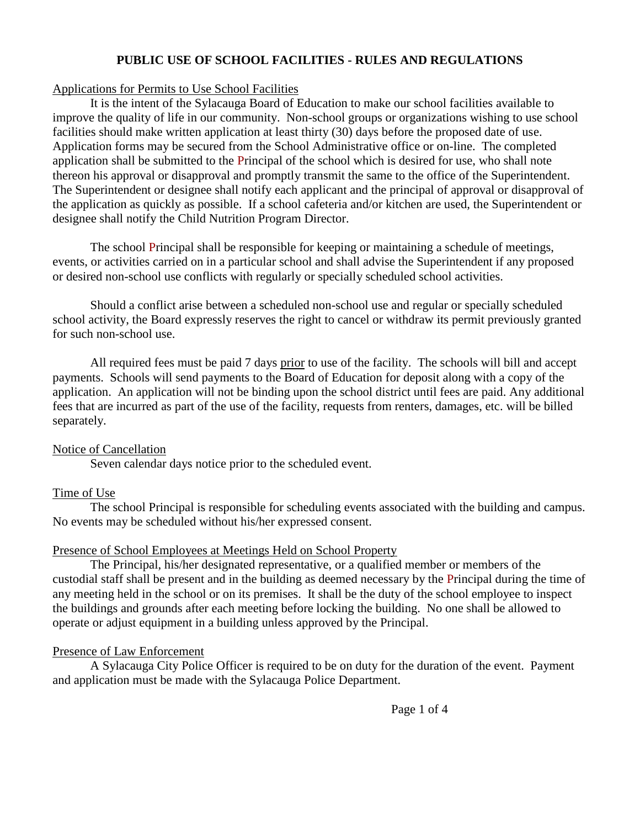### **PUBLIC USE OF SCHOOL FACILITIES - RULES AND REGULATIONS**

#### Applications for Permits to Use School Facilities

It is the intent of the Sylacauga Board of Education to make our school facilities available to improve the quality of life in our community. Non-school groups or organizations wishing to use school facilities should make written application at least thirty (30) days before the proposed date of use. Application forms may be secured from the School Administrative office or on-line. The completed application shall be submitted to the Principal of the school which is desired for use, who shall note thereon his approval or disapproval and promptly transmit the same to the office of the Superintendent. The Superintendent or designee shall notify each applicant and the principal of approval or disapproval of the application as quickly as possible. If a school cafeteria and/or kitchen are used, the Superintendent or designee shall notify the Child Nutrition Program Director.

The school Principal shall be responsible for keeping or maintaining a schedule of meetings, events, or activities carried on in a particular school and shall advise the Superintendent if any proposed or desired non-school use conflicts with regularly or specially scheduled school activities.

Should a conflict arise between a scheduled non-school use and regular or specially scheduled school activity, the Board expressly reserves the right to cancel or withdraw its permit previously granted for such non-school use.

All required fees must be paid 7 days prior to use of the facility. The schools will bill and accept payments. Schools will send payments to the Board of Education for deposit along with a copy of the application. An application will not be binding upon the school district until fees are paid. Any additional fees that are incurred as part of the use of the facility, requests from renters, damages, etc. will be billed separately.

#### Notice of Cancellation

Seven calendar days notice prior to the scheduled event.

### Time of Use

The school Principal is responsible for scheduling events associated with the building and campus. No events may be scheduled without his/her expressed consent.

#### Presence of School Employees at Meetings Held on School Property

The Principal, his/her designated representative, or a qualified member or members of the custodial staff shall be present and in the building as deemed necessary by the Principal during the time of any meeting held in the school or on its premises. It shall be the duty of the school employee to inspect the buildings and grounds after each meeting before locking the building. No one shall be allowed to operate or adjust equipment in a building unless approved by the Principal.

#### Presence of Law Enforcement

A Sylacauga City Police Officer is required to be on duty for the duration of the event. Payment and application must be made with the Sylacauga Police Department.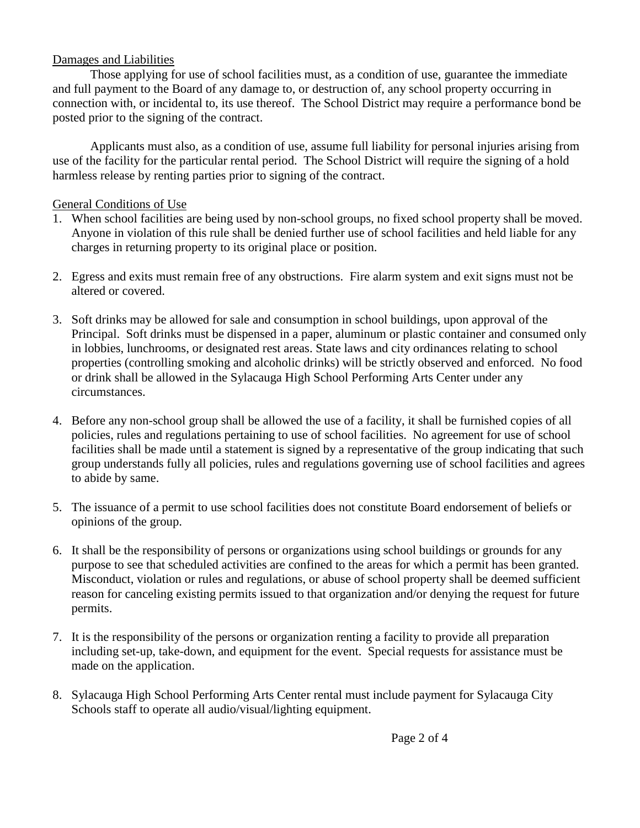### Damages and Liabilities

Those applying for use of school facilities must, as a condition of use, guarantee the immediate and full payment to the Board of any damage to, or destruction of, any school property occurring in connection with, or incidental to, its use thereof. The School District may require a performance bond be posted prior to the signing of the contract.

Applicants must also, as a condition of use, assume full liability for personal injuries arising from use of the facility for the particular rental period. The School District will require the signing of a hold harmless release by renting parties prior to signing of the contract.

## General Conditions of Use

- 1. When school facilities are being used by non-school groups, no fixed school property shall be moved. Anyone in violation of this rule shall be denied further use of school facilities and held liable for any charges in returning property to its original place or position.
- 2. Egress and exits must remain free of any obstructions. Fire alarm system and exit signs must not be altered or covered.
- 3. Soft drinks may be allowed for sale and consumption in school buildings, upon approval of the Principal. Soft drinks must be dispensed in a paper, aluminum or plastic container and consumed only in lobbies, lunchrooms, or designated rest areas. State laws and city ordinances relating to school properties (controlling smoking and alcoholic drinks) will be strictly observed and enforced. No food or drink shall be allowed in the Sylacauga High School Performing Arts Center under any circumstances.
- 4. Before any non-school group shall be allowed the use of a facility, it shall be furnished copies of all policies, rules and regulations pertaining to use of school facilities. No agreement for use of school facilities shall be made until a statement is signed by a representative of the group indicating that such group understands fully all policies, rules and regulations governing use of school facilities and agrees to abide by same.
- 5. The issuance of a permit to use school facilities does not constitute Board endorsement of beliefs or opinions of the group.
- 6. It shall be the responsibility of persons or organizations using school buildings or grounds for any purpose to see that scheduled activities are confined to the areas for which a permit has been granted. Misconduct, violation or rules and regulations, or abuse of school property shall be deemed sufficient reason for canceling existing permits issued to that organization and/or denying the request for future permits.
- 7. It is the responsibility of the persons or organization renting a facility to provide all preparation including set-up, take-down, and equipment for the event. Special requests for assistance must be made on the application.
- 8. Sylacauga High School Performing Arts Center rental must include payment for Sylacauga City Schools staff to operate all audio/visual/lighting equipment.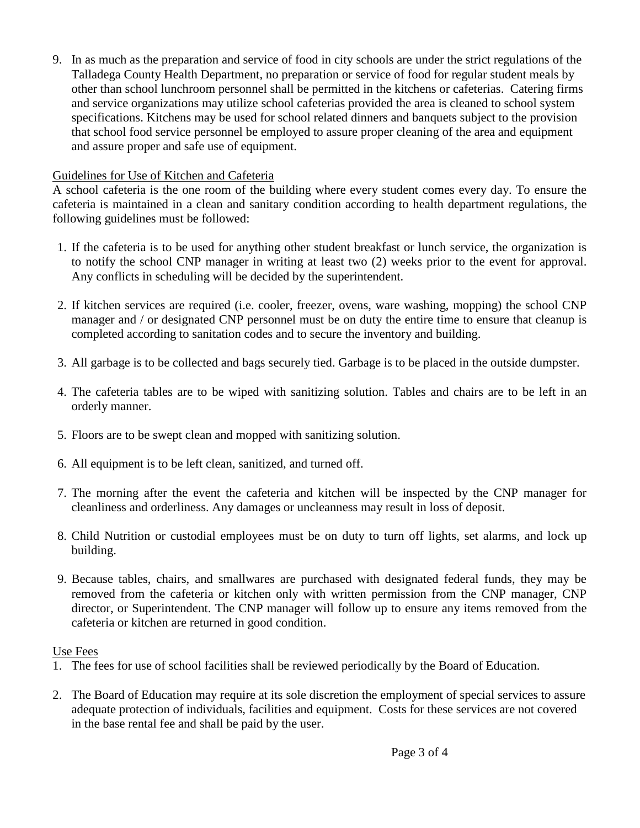9. In as much as the preparation and service of food in city schools are under the strict regulations of the Talladega County Health Department, no preparation or service of food for regular student meals by other than school lunchroom personnel shall be permitted in the kitchens or cafeterias. Catering firms and service organizations may utilize school cafeterias provided the area is cleaned to school system specifications. Kitchens may be used for school related dinners and banquets subject to the provision that school food service personnel be employed to assure proper cleaning of the area and equipment and assure proper and safe use of equipment.

# Guidelines for Use of Kitchen and Cafeteria

A school cafeteria is the one room of the building where every student comes every day. To ensure the cafeteria is maintained in a clean and sanitary condition according to health department regulations, the following guidelines must be followed:

- 1. If the cafeteria is to be used for anything other student breakfast or lunch service, the organization is to notify the school CNP manager in writing at least two (2) weeks prior to the event for approval. Any conflicts in scheduling will be decided by the superintendent.
- 2. If kitchen services are required (i.e. cooler, freezer, ovens, ware washing, mopping) the school CNP manager and / or designated CNP personnel must be on duty the entire time to ensure that cleanup is completed according to sanitation codes and to secure the inventory and building.
- 3. All garbage is to be collected and bags securely tied. Garbage is to be placed in the outside dumpster.
- 4. The cafeteria tables are to be wiped with sanitizing solution. Tables and chairs are to be left in an orderly manner.
- 5. Floors are to be swept clean and mopped with sanitizing solution.
- 6. All equipment is to be left clean, sanitized, and turned off.
- 7. The morning after the event the cafeteria and kitchen will be inspected by the CNP manager for cleanliness and orderliness. Any damages or uncleanness may result in loss of deposit.
- 8. Child Nutrition or custodial employees must be on duty to turn off lights, set alarms, and lock up building.
- 9. Because tables, chairs, and smallwares are purchased with designated federal funds, they may be removed from the cafeteria or kitchen only with written permission from the CNP manager, CNP director, or Superintendent. The CNP manager will follow up to ensure any items removed from the cafeteria or kitchen are returned in good condition.

# Use Fees

- 1. The fees for use of school facilities shall be reviewed periodically by the Board of Education.
- 2. The Board of Education may require at its sole discretion the employment of special services to assure adequate protection of individuals, facilities and equipment. Costs for these services are not covered in the base rental fee and shall be paid by the user.